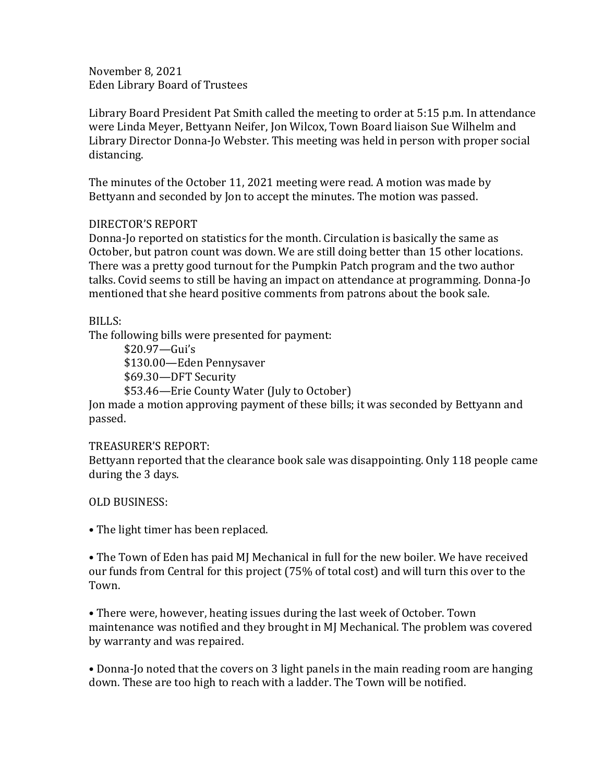November 8, 2021 Eden Library Board of Trustees

Library Board President Pat Smith called the meeting to order at 5:15 p.m. In attendance were Linda Meyer, Bettyann Neifer, Jon Wilcox, Town Board liaison Sue Wilhelm and Library Director Donna-Jo Webster. This meeting was held in person with proper social distancing.

The minutes of the October 11, 2021 meeting were read. A motion was made by Bettyann and seconded by Jon to accept the minutes. The motion was passed.

## DIRECTOR'S REPORT

Donna-Jo reported on statistics for the month. Circulation is basically the same as October, but patron count was down. We are still doing better than 15 other locations. There was a pretty good turnout for the Pumpkin Patch program and the two author talks. Covid seems to still be having an impact on attendance at programming. Donna-Jo mentioned that she heard positive comments from patrons about the book sale.

## BILLS:

The following bills were presented for payment:

\$20.97—Gui's \$130.00—Eden Pennysaver \$69.30—DFT Security

\$53.46—Erie County Water (July to October)

Jon made a motion approving payment of these bills; it was seconded by Bettyann and passed.

## TREASURER'S REPORT:

Bettyann reported that the clearance book sale was disappointing. Only 118 people came during the 3 days.

## OLD BUSINESS:

• The light timer has been replaced.

• The Town of Eden has paid MJ Mechanical in full for the new boiler. We have received our funds from Central for this project (75% of total cost) and will turn this over to the Town.

• There were, however, heating issues during the last week of October. Town maintenance was notified and they brought in MJ Mechanical. The problem was covered by warranty and was repaired.

• Donna-Jo noted that the covers on 3 light panels in the main reading room are hanging down. These are too high to reach with a ladder. The Town will be notified.